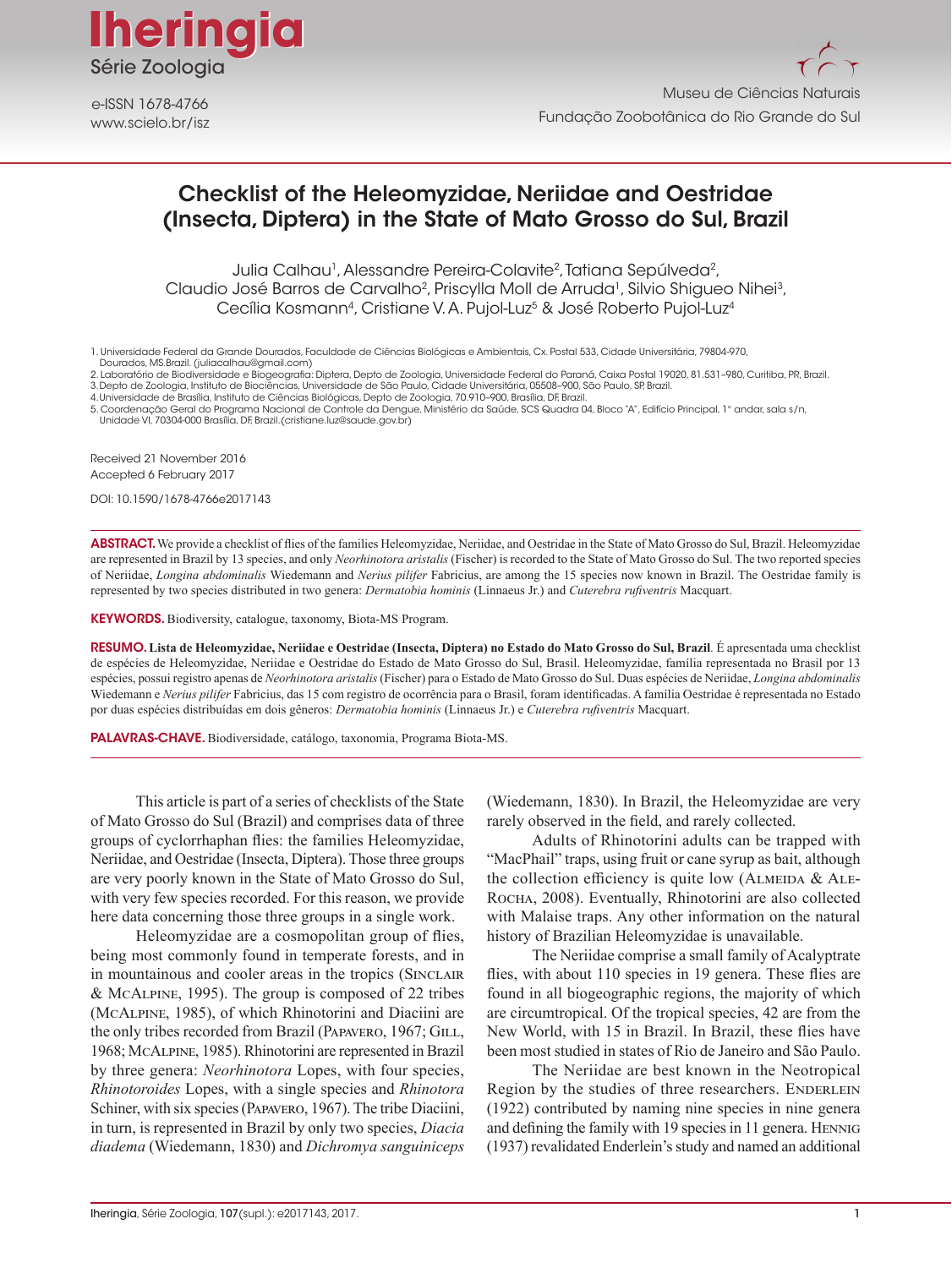

www.scielo.br/isz e-ISSN 1678-4766

# Checklist of the Heleomyzidae, Neriidae and Oestridae (Insecta, Diptera) in the State of Mato Grosso do Sul, Brazil

Julia Calhau<sup>1</sup>, Alessandre Pereira-Colavite<sup>2</sup>, Tatiana Sepúlveda<sup>2</sup>, Claudio José Barros de Carvalho<sup>2</sup>, Priscylla Moll de Arruda<sup>1</sup>, Silvio Shigueo Nihei<sup>3</sup>, Cecília Kosmann<sup>4</sup>, Cristiane V. A. Pujol-Luz<sup>5</sup> & José Roberto Pujol-Luz<sup>4</sup>

1. Universidade Federal da Grande Dourados, Faculdade de Ciências Biológicas e Ambientais, Cx. Postal 533, Cidade Universitária, 79804-970, Dourados, MS.Brazil. (juliacalhau@gmail.com)

4.Universidade de Brasília, Instituto de Ciências Biológicas, Depto de Zoologia, 70.910–900, Brasília, DF, Brazil.

Received 21 November 2016 Accepted 6 February 2017

DOI: 10.1590/1678-4766e2017143

ABSTRACT. We provide a checklist of flies of the families Heleomyzidae, Neriidae, and Oestridae in the State of Mato Grosso do Sul, Brazil. Heleomyzidae are represented in Brazil by 13 species, and only *Neorhinotora aristalis* (Fischer) is recorded to the State of Mato Grosso do Sul. The two reported species of Neriidae, *Longina abdominalis* Wiedemann and *Nerius pilifer* Fabricius, are among the 15 species now known in Brazil. The Oestridae family is represented by two species distributed in two genera: *Dermatobia hominis* (Linnaeus Jr.) and *Cuterebra rufiventris* Macquart.

KEYWORDS. Biodiversity, catalogue, taxonomy, Biota-MS Program.

RESUMO. **Lista de Heleomyzidae, Neriidae e Oestridae (Insecta, Diptera) no Estado do Mato Grosso do Sul, Brazil**. É apresentada uma checklist de espécies de Heleomyzidae, Neriidae e Oestridae do Estado de Mato Grosso do Sul, Brasil. Heleomyzidae, família representada no Brasil por 13 espécies, possui registro apenas de *Neorhinotora aristalis* (Fischer) para o Estado de Mato Grosso do Sul. Duas espécies de Neriidae, *Longina abdominalis* Wiedemann e *Nerius pilifer* Fabricius, das 15 com registro de ocorrência para o Brasil, foram identificadas. A família Oestridae é representada no Estado por duas espécies distribuídas em dois gêneros: *Dermatobia hominis* (Linnaeus Jr.) e *Cuterebra rufiventris* Macquart.

PALAVRAS-CHAVE. Biodiversidade, catálogo, taxonomia, Programa Biota-MS.

This article is part of a series of checklists of the State of Mato Grosso do Sul (Brazil) and comprises data of three groups of cyclorrhaphan flies: the families Heleomyzidae, Neriidae, and Oestridae (Insecta, Diptera). Those three groups are very poorly known in the State of Mato Grosso do Sul, with very few species recorded. For this reason, we provide here data concerning those three groups in a single work.

Heleomyzidae are a cosmopolitan group of flies, being most commonly found in temperate forests, and in in mountainous and cooler areas in the tropics (SINCLAIR & McAlpine, 1995). The group is composed of 22 tribes (McAlpine, 1985), of which Rhinotorini and Diaciini are the only tribes recorded from Brazil (PAPAVERO, 1967; GILL, 1968; McAlpine, 1985). Rhinotorini are represented in Brazil by three genera: *Neorhinotora* Lopes, with four species, *Rhinotoroides* Lopes, with a single species and *Rhinotora* Schiner, with six species (Papavero, 1967). The tribe Diaciini, in turn, is represented in Brazil by only two species, *Diacia diadema* (Wiedemann, 1830) and *Dichromya sanguiniceps*

(Wiedemann, 1830). In Brazil, the Heleomyzidae are very rarely observed in the field, and rarely collected.

Adults of Rhinotorini adults can be trapped with "MacPhail" traps, using fruit or cane syrup as bait, although the collection efficiency is quite low (ALMEIDA  $&$  ALE-ROCHA, 2008). Eventually, Rhinotorini are also collected with Malaise traps. Any other information on the natural history of Brazilian Heleomyzidae is unavailable.

The Neriidae comprise a small family of Acalyptrate flies, with about 110 species in 19 genera. These flies are found in all biogeographic regions, the majority of which are circumtropical. Of the tropical species, 42 are from the New World, with 15 in Brazil. In Brazil, these flies have been most studied in states of Rio de Janeiro and São Paulo.

The Neriidae are best known in the Neotropical Region by the studies of three researchers. ENDERLEIN (1922) contributed by naming nine species in nine genera and defining the family with 19 species in 11 genera. HENNIG (1937) revalidated Enderlein's study and named an additional

<sup>2.</sup> Laboratório de Biodiversidade e Biogeografia: Diptera, Depto de Zoologia, Universidade Federal do Paraná, Caixa Postal 19020, 81.531-980, Curitiba, PR, Brazil.<br>3.Depto de Zoologia, Instituto de Biociências, Universidade

<sup>5.</sup> Coordenação Geral do Programa Nacional de Controle da Dengue, Ministério da Saúde, SCS Quadra 04, Bloco "A", Edifício Principal, 1° andar, sala s/n, Unidade VI, 70304-000 Brasília, DF, Brazil.(cristiane.luz@saude.gov.br)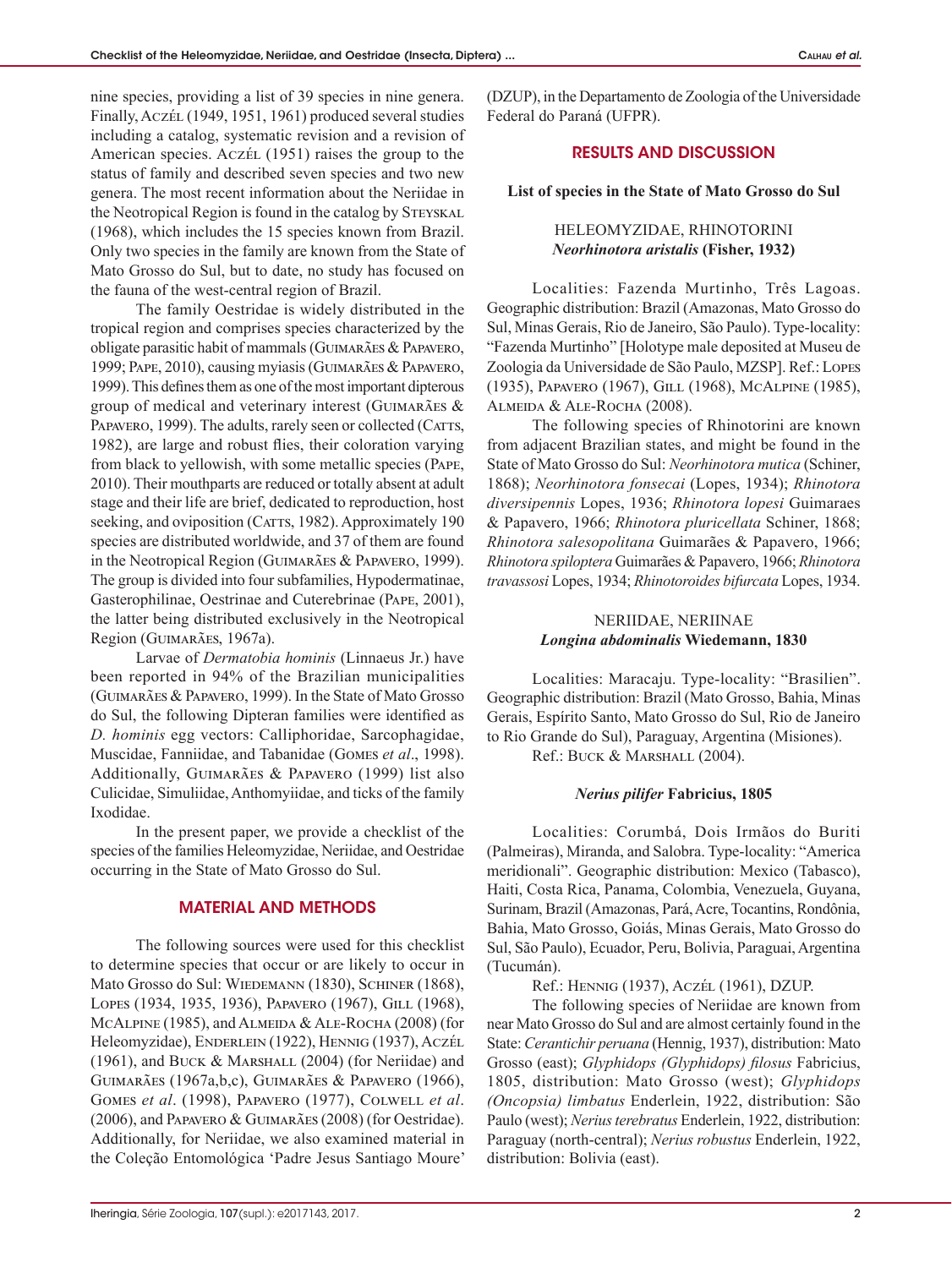nine species, providing a list of 39 species in nine genera. Finally, Aczél (1949, 1951, 1961) produced several studies including a catalog, systematic revision and a revision of American species. Aczél (1951) raises the group to the status of family and described seven species and two new genera. The most recent information about the Neriidae in the Neotropical Region is found in the catalog by STEYSKAL (1968), which includes the 15 species known from Brazil. Only two species in the family are known from the State of Mato Grosso do Sul, but to date, no study has focused on the fauna of the west-central region of Brazil.

The family Oestridae is widely distributed in the tropical region and comprises species characterized by the obligate parasitic habit of mammals (Guimarães & Papavero, 1999; Pape, 2010), causing myiasis (Guimarães & Papavero, 1999). This defines them as one of the most important dipterous group of medical and veterinary interest (Guimarães & PAPAVERO, 1999). The adults, rarely seen or collected (CATTS, 1982), are large and robust flies, their coloration varying from black to yellowish, with some metallic species (Pape, 2010). Their mouthparts are reduced or totally absent at adult stage and their life are brief, dedicated to reproduction, host seeking, and oviposition (CATTS, 1982). Approximately 190 species are distributed worldwide, and 37 of them are found in the Neotropical Region (Guimarães & Papavero, 1999). The group is divided into four subfamilies, Hypodermatinae, Gasterophilinae, Oestrinae and Cuterebrinae (Pape, 2001), the latter being distributed exclusively in the Neotropical Region (Guimarães, 1967a).

Larvae of *Dermatobia hominis* (Linnaeus Jr.) have been reported in 94% of the Brazilian municipalities (Guimarães & Papavero, 1999). In the State of Mato Grosso do Sul, the following Dipteran families were identified as *D. hominis* egg vectors: Calliphoridae, Sarcophagidae, Muscidae, Fanniidae, and Tabanidae (Gomes *et al*., 1998). Additionally, Guimarães & Papavero (1999) list also Culicidae, Simuliidae, Anthomyiidae, and ticks of the family Ixodidae.

In the present paper, we provide a checklist of the species of the families Heleomyzidae, Neriidae, and Oestridae occurring in the State of Mato Grosso do Sul.

#### MATERIAL AND METHODS

The following sources were used for this checklist to determine species that occur or are likely to occur in Mato Grosso do Sul: WIEDEMANN (1830), SCHINER (1868), Lopes (1934, 1935, 1936), Papavero (1967), Gill (1968), MCALPINE (1985), and ALMEIDA & ALE-ROCHA (2008) (for Heleomyzidae), ENDERLEIN (1922), HENNIG (1937), ACZÉL (1961), and Buck & Marshall (2004) (for Neriidae) and Guimarães (1967a,b,c), Guimarães & Papavero (1966), Gomes *et al*. (1998), Papavero (1977), Colwell *et al*. (2006), and Papavero & Guimarães (2008) (for Oestridae). Additionally, for Neriidae, we also examined material in the Coleção Entomológica 'Padre Jesus Santiago Moure' (DZUP), in the Departamento de Zoologia of the Universidade Federal do Paraná (UFPR).

## RESULTS AND DISCUSSION

#### **List of species in the State of Mato Grosso do Sul**

### HELEOMYZIDAE, RHINOTORINI *Neorhinotora aristalis* **(Fisher, 1932)**

Localities: Fazenda Murtinho, Três Lagoas. Geographic distribution: Brazil (Amazonas, Mato Grosso do Sul, Minas Gerais, Rio de Janeiro, São Paulo). Type-locality: "Fazenda Murtinho" [Holotype male deposited at Museu de Zoologia da Universidade de São Paulo, MZSP]. Ref.: Lopes (1935), Papavero (1967), Gill (1968), McAlpine (1985), ALMEIDA & ALE-ROCHA (2008).

The following species of Rhinotorini are known from adjacent Brazilian states, and might be found in the State of Mato Grosso do Sul: *Neorhinotora mutica* (Schiner, 1868); *Neorhinotora fonsecai* (Lopes, 1934); *Rhinotora diversipennis* Lopes, 1936; *Rhinotora lopesi* Guimaraes & Papavero, 1966; *Rhinotora pluricellata* Schiner, 1868; *Rhinotora salesopolitana* Guimarães & Papavero, 1966; *Rhinotora spiloptera* Guimarães & Papavero, 1966; *Rhinotora travassosi* Lopes, 1934; *Rhinotoroides bifurcata* Lopes, 1934.

### NERIIDAE, NERIINAE *Longina abdominalis* **Wiedemann, 1830**

Localities: Maracaju. Type-locality: "Brasilien". Geographic distribution: Brazil (Mato Grosso, Bahia, Minas Gerais, Espírito Santo, Mato Grosso do Sul, Rio de Janeiro to Rio Grande do Sul), Paraguay, Argentina (Misiones). Ref.: BUCK & MARSHALL (2004).

### *Nerius pilifer* **Fabricius, 1805**

Localities: Corumbá, Dois Irmãos do Buriti (Palmeiras), Miranda, and Salobra. Type-locality: "America meridionali". Geographic distribution: Mexico (Tabasco), Haiti, Costa Rica, Panama, Colombia, Venezuela, Guyana, Surinam, Brazil (Amazonas, Pará, Acre, Tocantins, Rondônia, Bahia, Mato Grosso, Goiás, Minas Gerais, Mato Grosso do Sul, São Paulo), Ecuador, Peru, Bolivia, Paraguai, Argentina (Tucumán).

Ref.: Hennig (1937), Aczél (1961), DZUP.

The following species of Neriidae are known from near Mato Grosso do Sul and are almost certainly found in the State: *Cerantichir peruana* (Hennig, 1937), distribution: Mato Grosso (east); *Glyphidops (Glyphidops) filosus* Fabricius, 1805, distribution: Mato Grosso (west); *Glyphidops (Oncopsia) limbatus* Enderlein, 1922, distribution: São Paulo (west); *Nerius terebratus* Enderlein, 1922, distribution: Paraguay (north-central); *Nerius robustus* Enderlein, 1922, distribution: Bolivia (east).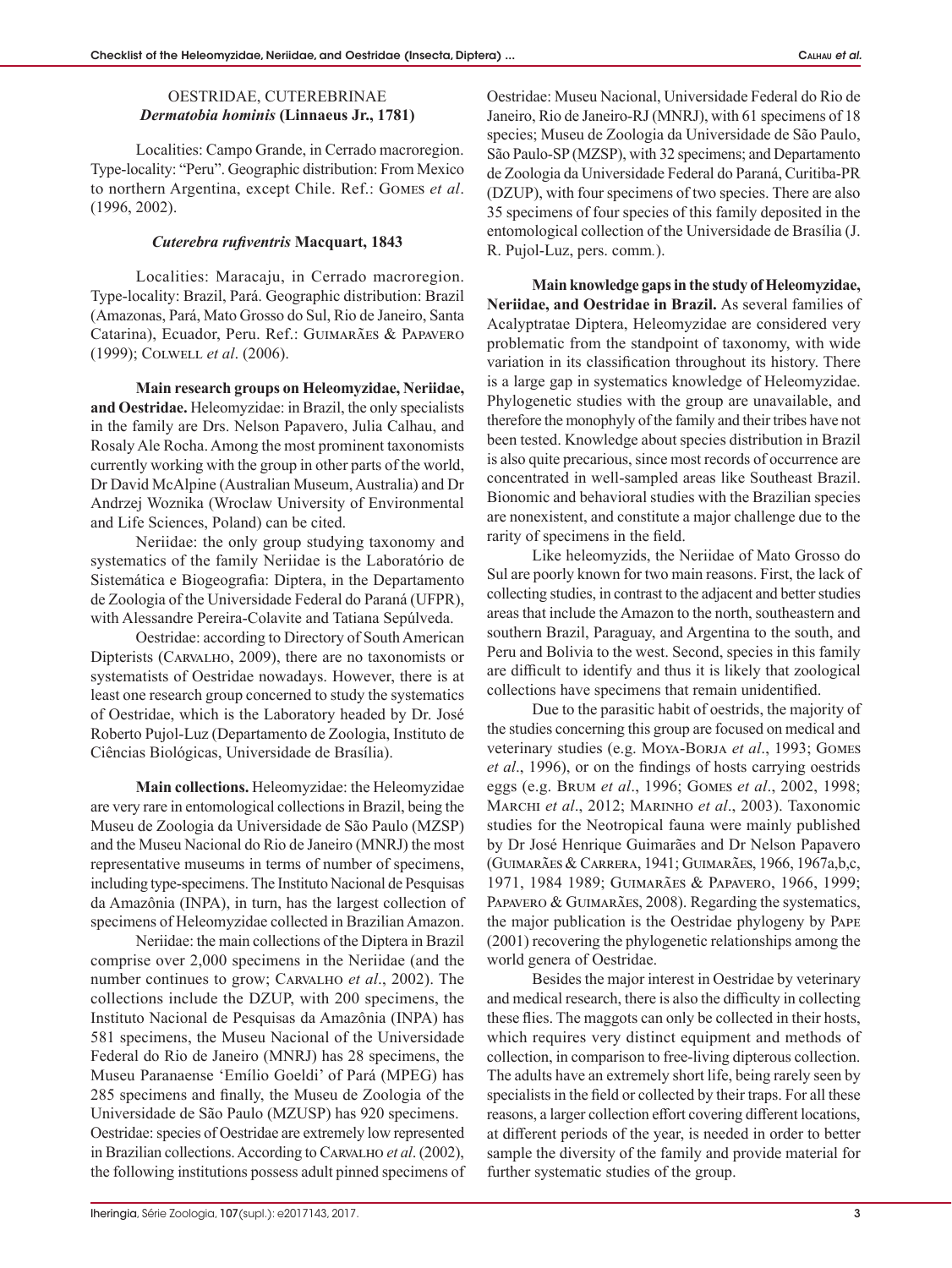### OESTRIDAE, CUTEREBRINAE *Dermatobia hominis* **(Linnaeus Jr., 1781)**

Localities: Campo Grande, in Cerrado macroregion. Type-locality: "Peru". Geographic distribution: From Mexico to northern Argentina, except Chile. Ref.: Gomes *et al*. (1996, 2002).

#### *Cuterebra rufiventris* **Macquart, 1843**

Localities: Maracaju, in Cerrado macroregion. Type-locality: Brazil, Pará. Geographic distribution: Brazil (Amazonas, Pará, Mato Grosso do Sul, Rio de Janeiro, Santa Catarina), Ecuador, Peru. Ref.: Guimarães & Papavero (1999); Colwell *et al*. (2006).

**Main research groups on Heleomyzidae, Neriidae, and Oestridae.** Heleomyzidae: in Brazil, the only specialists in the family are Drs. Nelson Papavero, Julia Calhau, and Rosaly Ale Rocha. Among the most prominent taxonomists currently working with the group in other parts of the world, Dr David McAlpine (Australian Museum, Australia) and Dr Andrzej Woznika (Wroclaw University of Environmental and Life Sciences, Poland) can be cited.

Neriidae: the only group studying taxonomy and systematics of the family Neriidae is the Laboratório de Sistemática e Biogeografia: Diptera, in the Departamento de Zoologia of the Universidade Federal do Paraná (UFPR), with Alessandre Pereira-Colavite and Tatiana Sepúlveda.

Oestridae: according to Directory of South American Dipterists (Carvalho, 2009), there are no taxonomists or systematists of Oestridae nowadays. However, there is at least one research group concerned to study the systematics of Oestridae, which is the Laboratory headed by Dr. José Roberto Pujol-Luz (Departamento de Zoologia, Instituto de Ciências Biológicas, Universidade de Brasília).

**Main collections.** Heleomyzidae: the Heleomyzidae are very rare in entomological collections in Brazil, being the Museu de Zoologia da Universidade de São Paulo (MZSP) and the Museu Nacional do Rio de Janeiro (MNRJ) the most representative museums in terms of number of specimens, including type-specimens. The Instituto Nacional de Pesquisas da Amazônia (INPA), in turn, has the largest collection of specimens of Heleomyzidae collected in Brazilian Amazon.

Neriidae: the main collections of the Diptera in Brazil comprise over 2,000 specimens in the Neriidae (and the number continues to grow; Carvalho *et al*., 2002). The collections include the DZUP, with 200 specimens, the Instituto Nacional de Pesquisas da Amazônia (INPA) has 581 specimens, the Museu Nacional of the Universidade Federal do Rio de Janeiro (MNRJ) has 28 specimens, the Museu Paranaense 'Emílio Goeldi' of Pará (MPEG) has 285 specimens and finally, the Museu de Zoologia of the Universidade de São Paulo (MZUSP) has 920 specimens. Oestridae: species of Oestridae are extremely low represented in Brazilian collections. According to Carvalho *et al*. (2002), the following institutions possess adult pinned specimens of Oestridae: Museu Nacional, Universidade Federal do Rio de Janeiro, Rio de Janeiro-RJ (MNRJ), with 61 specimens of 18 species; Museu de Zoologia da Universidade de São Paulo, São Paulo-SP (MZSP), with 32 specimens; and Departamento de Zoologia da Universidade Federal do Paraná, Curitiba-PR (DZUP), with four specimens of two species. There are also 35 specimens of four species of this family deposited in the entomological collection of the Universidade de Brasília (J. R. Pujol-Luz, pers. comm*.*).

**Main knowledge gaps in the study of Heleomyzidae, Neriidae, and Oestridae in Brazil.** As several families of Acalyptratae Diptera, Heleomyzidae are considered very problematic from the standpoint of taxonomy, with wide variation in its classification throughout its history. There is a large gap in systematics knowledge of Heleomyzidae. Phylogenetic studies with the group are unavailable, and therefore the monophyly of the family and their tribes have not been tested. Knowledge about species distribution in Brazil is also quite precarious, since most records of occurrence are concentrated in well-sampled areas like Southeast Brazil. Bionomic and behavioral studies with the Brazilian species are nonexistent, and constitute a major challenge due to the rarity of specimens in the field.

Like heleomyzids, the Neriidae of Mato Grosso do Sul are poorly known for two main reasons. First, the lack of collecting studies, in contrast to the adjacent and better studies areas that include the Amazon to the north, southeastern and southern Brazil, Paraguay, and Argentina to the south, and Peru and Bolivia to the west. Second, species in this family are difficult to identify and thus it is likely that zoological collections have specimens that remain unidentified.

Due to the parasitic habit of oestrids, the majority of the studies concerning this group are focused on medical and veterinary studies (e.g. MOYA-BORJA et al., 1993; GOMES *et al*., 1996), or on the findings of hosts carrying oestrids eggs (e.g. Brum *et al*., 1996; Gomes *et al*., 2002, 1998; Marchi *et al*., 2012; Marinho *et al*., 2003). Taxonomic studies for the Neotropical fauna were mainly published by Dr José Henrique Guimarães and Dr Nelson Papavero (Guimarães & Carrera, 1941; Guimarães, 1966, 1967a,b,c, 1971, 1984 1989; Guimarães & Papavero, 1966, 1999; PAPAVERO & GUIMARÃES, 2008). Regarding the systematics, the major publication is the Oestridae phylogeny by Pape (2001) recovering the phylogenetic relationships among the world genera of Oestridae.

Besides the major interest in Oestridae by veterinary and medical research, there is also the difficulty in collecting these flies. The maggots can only be collected in their hosts, which requires very distinct equipment and methods of collection, in comparison to free-living dipterous collection. The adults have an extremely short life, being rarely seen by specialists in the field or collected by their traps. For all these reasons, a larger collection effort covering different locations, at different periods of the year, is needed in order to better sample the diversity of the family and provide material for further systematic studies of the group.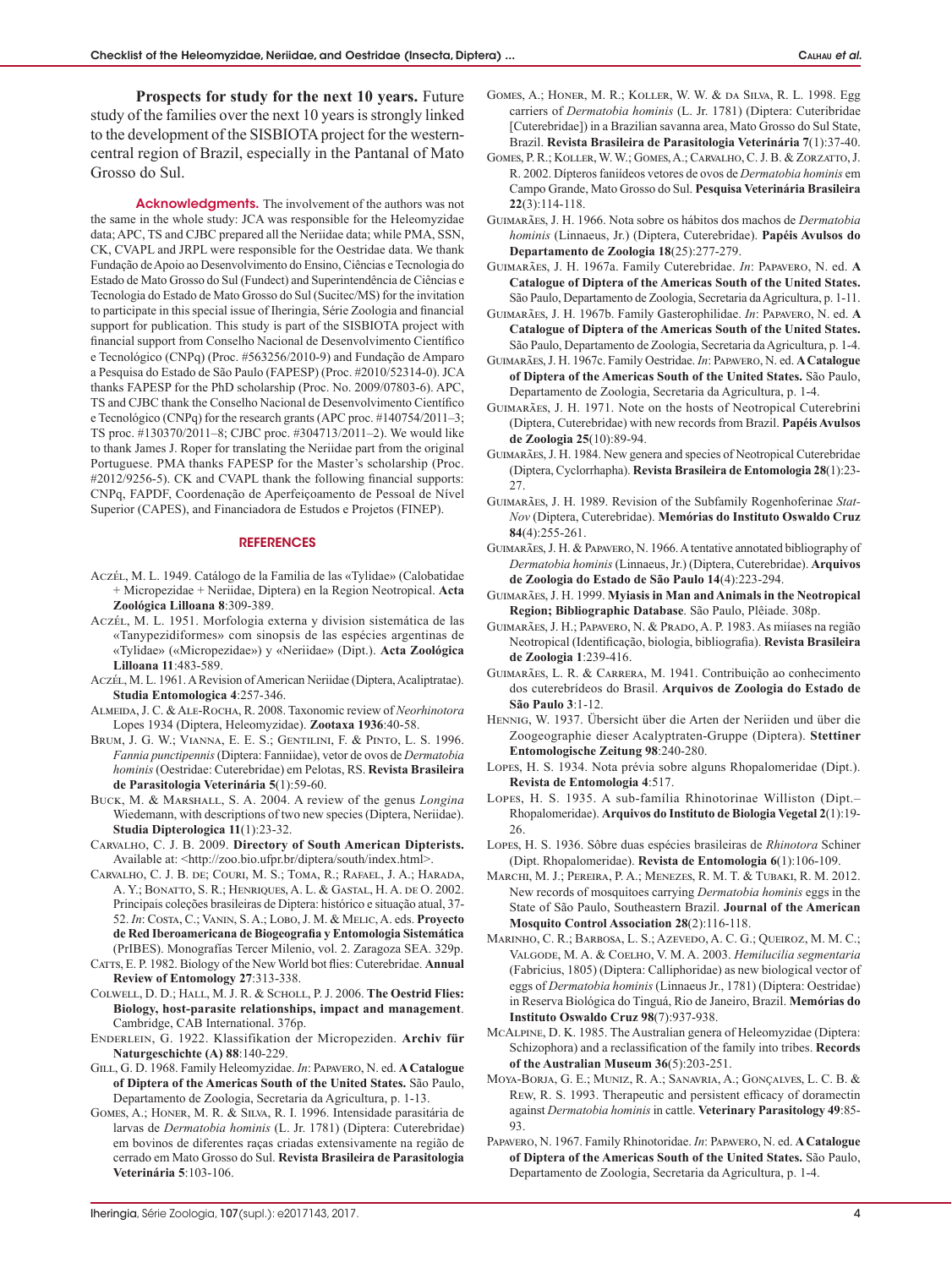**Prospects for study for the next 10 years.** Future study of the families over the next 10 years is strongly linked to the development of the SISBIOTA project for the westerncentral region of Brazil, especially in the Pantanal of Mato Grosso do Sul.

Acknowledgments. The involvement of the authors was not the same in the whole study: JCA was responsible for the Heleomyzidae data; APC, TS and CJBC prepared all the Neriidae data; while PMA, SSN, CK, CVAPL and JRPL were responsible for the Oestridae data. We thank Fundação de Apoio ao Desenvolvimento do Ensino, Ciências e Tecnologia do Estado de Mato Grosso do Sul (Fundect) and Superintendência de Ciências e Tecnologia do Estado de Mato Grosso do Sul (Sucitec/MS) for the invitation to participate in this special issue of Iheringia, Série Zoologia and financial support for publication. This study is part of the SISBIOTA project with financial support from Conselho Nacional de Desenvolvimento Científico e Tecnológico (CNPq) (Proc. #563256/2010-9) and Fundação de Amparo a Pesquisa do Estado de São Paulo (FAPESP) (Proc. #2010/52314-0). JCA thanks FAPESP for the PhD scholarship (Proc. No. 2009/07803-6). APC, TS and CJBC thank the Conselho Nacional de Desenvolvimento Científico e Tecnológico (CNPq) for the research grants (APC proc. #140754/2011–3; TS proc. #130370/2011–8; CJBC proc. #304713/2011–2). We would like to thank James J. Roper for translating the Neriidae part from the original Portuguese. PMA thanks FAPESP for the Master's scholarship (Proc. #2012/9256-5). CK and CVAPL thank the following financial supports: CNPq, FAPDF, Coordenação de Aperfeiçoamento de Pessoal de Nível Superior (CAPES), and Financiadora de Estudos e Projetos (FINEP).

#### **REFERENCES**

- Aczél, M. L. 1949. Catálogo de la Familia de las «Tylidae» (Calobatidae + Micropezidae + Neriidae, Diptera) en la Region Neotropical. **Acta Zoológica Lilloana 8**:309-389.
- Aczél, M. L. 1951. Morfologia externa y division sistemática de las «Tanypezidiformes» com sinopsis de las espécies argentinas de «Tylidae» («Micropezidae») y «Neriidae» (Dipt.). **Acta Zoológica Lilloana 11**:483-589.
- Aczél, M. L. 1961. A Revision of American Neriidae (Diptera, Acaliptratae). **Studia Entomologica 4**:257-346.
- Almeida, J. C. & Ale-Rocha, R. 2008. Taxonomic review of *Neorhinotora* Lopes 1934 (Diptera, Heleomyzidae). **Zootaxa 1936**:40-58.
- Brum, J. G. W.; Vianna, E. E. S.; Gentilini, F. & Pinto, L. S. 1996. *Fannia punctipennis* (Diptera: Fanniidae), vetor de ovos de *Dermatobia hominis* (Oestridae: Cuterebridae) em Pelotas, RS. **Revista Brasileira de Parasitologia Veterinária 5**(1):59-60.
- Buck, M. & Marshall, S. A. 2004. A review of the genus *Longina*  Wiedemann, with descriptions of two new species (Diptera, Neriidae). **Studia Dipterologica 11**(1):23-32.
- Carvalho, C. J. B. 2009. **Directory of South American Dipterists.** Available at: <http://zoo.bio.ufpr.br/diptera/south/index.html>.
- Carvalho, C. J. B. de; Couri, M. S.; Toma, R.; Rafael, J. A.; Harada, A. Y.; Bonatto, S. R.; Henriques, A. L. & Gastal, H. A. de O. 2002. Principais coleções brasileiras de Diptera: histórico e situação atual, 37- 52. *In*: Costa, C.; Vanin, S. A.; Lobo, J. M. & Melic, A. eds. **Proyecto de Red Iberoamericana de Biogeografia y Entomologia Sistemática** (PrIBES). Monografías Tercer Milenio, vol. 2. Zaragoza SEA. 329p.
- CATTS, E. P. 1982. Biology of the New World bot flies: Cuterebridae. Annual **Review of Entomology 27**:313-338.
- Colwell, D. D.; Hall, M. J. R. & Scholl, P. J. 2006. **The Oestrid Flies: Biology, host-parasite relationships, impact and management**. Cambridge, CAB International. 376p.
- Enderlein, G. 1922. Klassifikation der Micropeziden. **Archiv für Naturgeschichte (A) 88**:140-229.
- Gill, G. D. 1968. Family Heleomyzidae. *In*: Papavero, N. ed. **A Catalogue of Diptera of the Americas South of the United States.** São Paulo, Departamento de Zoologia, Secretaria da Agricultura, p. 1-13.
- Gomes, A.; Honer, M. R. & Silva, R. I. 1996. Intensidade parasitária de larvas de *Dermatobia hominis* (L. Jr. 1781) (Diptera: Cuterebridae) em bovinos de diferentes raças criadas extensivamente na região de cerrado em Mato Grosso do Sul. **Revista Brasileira de Parasitologia Veterinária 5**:103-106.
- Gomes, A.; Honer, M. R.; Koller, W. W. & da Silva, R. L. 1998. Egg carriers of *Dermatobia hominis* (L. Jr. 1781) (Diptera: Cuteribridae [Cuterebridae]) in a Brazilian savanna area, Mato Grosso do Sul State, Brazil. **Revista Brasileira de Parasitologia Veterinária 7**(1):37-40.
- Gomes, P. R.; Koller, W. W.; Gomes, A.; Carvalho, C. J. B. & Zorzatto, J. R. 2002. Dípteros faniídeos vetores de ovos de *Dermatobia hominis* em Campo Grande, Mato Grosso do Sul. **Pesquisa Veterinária Brasileira 22**(3):114-118.
- Guimarães, J. H. 1966. Nota sobre os hábitos dos machos de *Dermatobia hominis* (Linnaeus, Jr.) (Diptera, Cuterebridae). **Papéis Avulsos do Departamento de Zoologia 18**(25):277-279.
- Guimarães, J. H. 1967a. Family Cuterebridae. *In*: Papavero, N. ed. **A Catalogue of Diptera of the Americas South of the United States.** São Paulo, Departamento de Zoologia, Secretaria da Agricultura, p. 1-11.
- Guimarães, J. H. 1967b. Family Gasterophilidae. *In*: Papavero, N. ed. **A Catalogue of Diptera of the Americas South of the United States.** São Paulo, Departamento de Zoologia, Secretaria da Agricultura, p. 1-4.
- Guimarães, J. H. 1967c. Family Oestridae. *In*: Papavero, N. ed. **A Catalogue of Diptera of the Americas South of the United States.** São Paulo, Departamento de Zoologia, Secretaria da Agricultura, p. 1-4.
- Guimarães, J. H. 1971. Note on the hosts of Neotropical Cuterebrini (Diptera, Cuterebridae) with new records from Brazil. **Papéis Avulsos de Zoologia 25**(10):89-94.
- Guimarães, J. H. 1984. New genera and species of Neotropical Cuterebridae (Diptera, Cyclorrhapha). **Revista Brasileira de Entomologia 28**(1):23- 27.
- Guimarães, J. H. 1989. Revision of the Subfamily Rogenhoferinae *Stat-Nov* (Diptera, Cuterebridae). **Memórias do Instituto Oswaldo Cruz 84**(4):255-261.
- Guimarães, J. H. & Papavero, N. 1966. A tentative annotated bibliography of *Dermatobia hominis* (Linnaeus, Jr.) (Diptera, Cuterebridae). **Arquivos de Zoologia do Estado de São Paulo 14**(4):223-294.
- Guimarães, J. H. 1999. **Myiasis in Man and Animals in the Neotropical Region; Bibliographic Database**. São Paulo, Plêiade. 308p.
- Guimarães, J. H.; Papavero, N. & Prado, A. P. 1983. As miíases na região Neotropical (Identificação, biologia, bibliografia). **Revista Brasileira de Zoologia 1**:239-416.
- Guimarães, L. R. & Carrera, M. 1941. Contribuição ao conhecimento dos cuterebrídeos do Brasil. **Arquivos de Zoologia do Estado de São Paulo 3**:1-12.
- Hennig, W. 1937. Übersicht über die Arten der Neriiden und über die Zoogeographie dieser Acalyptraten-Gruppe (Diptera). **Stettiner Entomologische Zeitung 98**:240-280.
- Lopes, H. S. 1934. Nota prévia sobre alguns Rhopalomeridae (Dipt.). **Revista de Entomologia 4**:517.
- Lopes, H. S. 1935. A sub-família Rhinotorinae Williston (Dipt.– Rhopalomeridae). **Arquivos do Instituto de Biologia Vegetal 2**(1):19- 26.
- Lopes, H. S. 1936. Sôbre duas espécies brasileiras de *Rhinotora* Schiner (Dipt. Rhopalomeridae). **Revista de Entomologia 6**(1):106-109.
- Marchi, M. J.; Pereira, P. A.; Menezes, R. M. T. & Tubaki, R. M. 2012. New records of mosquitoes carrying *Dermatobia hominis* eggs in the State of São Paulo, Southeastern Brazil. **Journal of the American Mosquito Control Association 28**(2):116-118.
- Marinho, C. R.; Barbosa, L. S.; Azevedo, A. C. G.; Queiroz, M. M. C.; Valgode, M. A. & Coelho, V. M. A. 2003. *Hemilucilia segmentaria* (Fabricius, 1805) (Diptera: Calliphoridae) as new biological vector of eggs of *Dermatobia hominis* (Linnaeus Jr., 1781) (Diptera: Oestridae) in Reserva Biológica do Tinguá, Rio de Janeiro, Brazil. **Memórias do Instituto Oswaldo Cruz 98**(7):937-938.
- McAlpine, D. K. 1985. The Australian genera of Heleomyzidae (Diptera: Schizophora) and a reclassification of the family into tribes. **Records of the Australian Museum 36**(5):203-251.
- Moya-Borja, G. E.; Muniz, R. A.; Sanavria, A.; Gonçalves, L. C. B. & Rew, R. S. 1993. Therapeutic and persistent efficacy of doramectin against *Dermatobia hominis* in cattle. **Veterinary Parasitology 49**:85- 93.
- Papavero, N. 1967. Family Rhinotoridae. *In*: Papavero, N. ed. **A Catalogue of Diptera of the Americas South of the United States.** São Paulo, Departamento de Zoologia, Secretaria da Agricultura, p. 1-4.